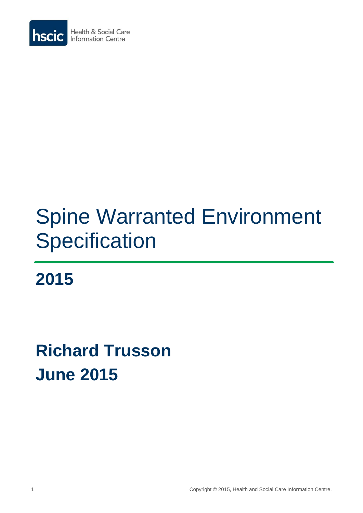

# Spine Warranted Environment **Specification**

**2015**

# **Richard Trusson June 2015**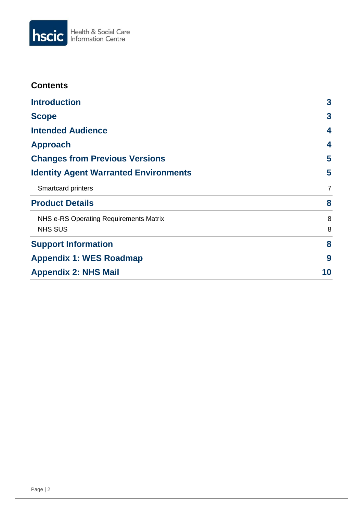

| <b>Contents</b>                              |                |
|----------------------------------------------|----------------|
| <b>Introduction</b>                          | 3              |
| <b>Scope</b>                                 | 3              |
| <b>Intended Audience</b>                     | 4              |
| <b>Approach</b>                              | 4              |
| <b>Changes from Previous Versions</b>        | 5              |
| <b>Identity Agent Warranted Environments</b> | 5              |
| <b>Smartcard printers</b>                    | $\overline{7}$ |
| <b>Product Details</b>                       | 8              |
| NHS e-RS Operating Requirements Matrix       | 8              |
| <b>NHS SUS</b>                               | 8              |
| <b>Support Information</b>                   | 8              |
| <b>Appendix 1: WES Roadmap</b>               | 9              |
| <b>Appendix 2: NHS Mail</b>                  | 10             |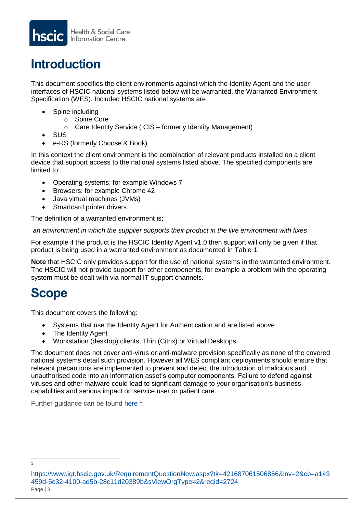# <span id="page-2-0"></span>**Introduction**

This document specifies the client environments against which the Identity Agent and the user interfaces of HSCIC national systems listed below will be warranted, the Warranted Environment Specification (WES). Included HSCIC national systems are

- Spine including
	- o Spine Core
	- o Care Identity Service ( CIS formerly Identity Management)
- SUS
- e-RS (formerly Choose & Book)

In this context the client environment is the combination of relevant products installed on a client device that support access to the national systems listed above. The specified components are limited to:

- Operating systems; for example Windows 7
- Browsers; for example Chrome 42
- Java virtual machines (JVMs)
- Smartcard printer drivers

The definition of a warranted environment is;

*an environment in which the supplier supports their product in the live environment with fixes*.

For example if the product is the HSCIC Identity Agent v1.0 then support will only be given if that product is being used in a warranted environment as documented in Table 1.

**Note** that HSCIC only provides support for the use of national systems in the warranted environment. The HSCIC will not provide support for other components; for example a problem with the operating system must be dealt with via normal IT support channels.

# <span id="page-2-1"></span>**Scope**

This document covers the following:

- Systems that use the Identity Agent for Authentication and are listed above
- The Identity Agent
- Workstation (desktop) clients, Thin (Citrix) or Virtual Desktops

The document does not cover anti-virus or anti-malware provision specifically as none of the covered national systems detail such provision. However all WES compliant deployments should ensure that relevant precautions are implemented to prevent and detect the introduction of malicious and unauthorised code into an information asset's computer components. Failure to defend against viruses and other malware could lead to significant damage to your organisation's business capabilities and serious impact on service user or patient care.

Further quidance can be found [here](https://www.igt.hscic.gov.uk/RequirementQuestionNew.aspx?tk=421687061506856&lnv=2&cb=a143459d-5c32-4100-ad5b-28c11d20389b&sViewOrgType=2&reqid=2724)<sup>1</sup>

### Page | 3 [https://www.igt.hscic.gov.uk/RequirementQuestionNew.aspx?tk=421687061506856&lnv=2&cb=a143](https://www.igt.hscic.gov.uk/RequirementQuestionNew.aspx?tk=421687061506856&lnv=2&cb=a143459d-5c32-4100-ad5b-28c11d20389b&sViewOrgType=2&reqid=2724) [459d-5c32-4100-ad5b-28c11d20389b&sViewOrgType=2&reqid=2724](https://www.igt.hscic.gov.uk/RequirementQuestionNew.aspx?tk=421687061506856&lnv=2&cb=a143459d-5c32-4100-ad5b-28c11d20389b&sViewOrgType=2&reqid=2724)

-1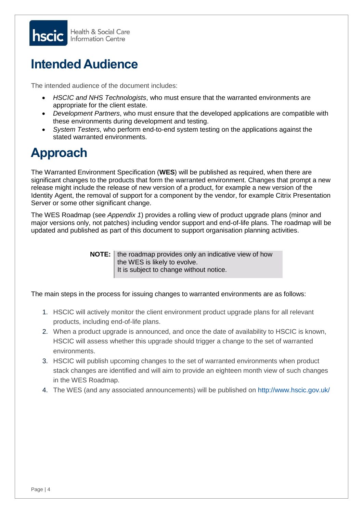

# <span id="page-3-0"></span>**Intended Audience**

The intended audience of the document includes:

- *HSCIC and NHS Technologists*, who must ensure that the warranted environments are appropriate for the client estate.
- *Development Partners*, who must ensure that the developed applications are compatible with these environments during development and testing.
- *System Testers*, who perform end-to-end system testing on the applications against the stated warranted environments.

# <span id="page-3-1"></span>**Approach**

The Warranted Environment Specification (**WES**) will be published as required, when there are significant changes to the products that form the warranted environment. Changes that prompt a new release might include the release of new version of a product, for example a new version of the Identity Agent, the removal of support for a component by the vendor, for example Citrix Presentation Server or some other significant change.

The WES Roadmap (see *Appendix 1*) provides a rolling view of product upgrade plans (minor and major versions only, not patches) including vendor support and end-of-life plans. The roadmap will be updated and published as part of this document to support organisation planning activities.

> **NOTE:** I the roadmap provides only an indicative view of how the WES is likely to evolve. It is subject to change without notice.

The main steps in the process for issuing changes to warranted environments are as follows:

- 1. HSCIC will actively monitor the client environment product upgrade plans for all relevant products, including end-of-life plans.
- 2. When a product upgrade is announced, and once the date of availability to HSCIC is known, HSCIC will assess whether this upgrade should trigger a change to the set of warranted environments.
- 3. HSCIC will publish upcoming changes to the set of warranted environments when product stack changes are identified and will aim to provide an eighteen month view of such changes in the WES Roadmap.
- 4. The WES (and any associated announcements) will be published on<http://www.hscic.gov.uk/>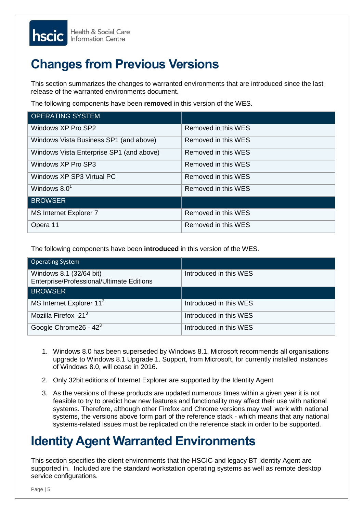

# <span id="page-4-0"></span>**Changes from Previous Versions**

This section summarizes the changes to warranted environments that are introduced since the last release of the warranted environments document.

The following components have been **removed** in this version of the WES.

| <b>OPERATING SYSTEM</b>                  |                     |
|------------------------------------------|---------------------|
| Windows XP Pro SP2                       | Removed in this WES |
| Windows Vista Business SP1 (and above)   | Removed in this WES |
| Windows Vista Enterprise SP1 (and above) | Removed in this WES |
| Windows XP Pro SP3                       | Removed in this WES |
| Windows XP SP3 Virtual PC                | Removed in this WES |
| Windows $8.01$                           | Removed in this WES |
| <b>BROWSER</b>                           |                     |
| MS Internet Explorer 7                   | Removed in this WES |
| Opera 11                                 | Removed in this WES |

The following components have been **introduced** in this version of the WES.

| <b>Operating System</b>                                              |                        |
|----------------------------------------------------------------------|------------------------|
| Windows 8.1 (32/64 bit)<br>Enterprise/Professional/Ultimate Editions | Introduced in this WES |
| <b>BROWSER</b>                                                       |                        |
| MS Internet Explorer 11 <sup>2</sup>                                 | Introduced in this WES |
| Mozilla Firefox $21^3$                                               | Introduced in this WES |
| Google Chrome $26 - 423$                                             | Introduced in this WES |

- apyrade to Windows 8.1 Opyrade of Windows 8.0, will cease in 2016. 1. Windows 8.0 has been superseded by Windows 8.1. Microsoft recommends all organisations upgrade to Windows 8.1 Upgrade 1. Support, from Microsoft, for currently installed instances
- 2. Only 32bit editions of Internet Explorer are supported by the Identity Agent yet been fully assured.
	- 3. As the versions of these products are updated numerous times within a given year it is not feasible to try to predict how new features and functionality may affect their use with national systems. Therefore, although other Firefox and Chrome versions may well work with national systems, the versions above form part of the reference stack - which means that any national systems-related issues must be replicated on the reference stack in order to be supported.

# <span id="page-4-1"></span>**Identity Agent Warranted Environments**

This section specifies the client environments that the HSCIC and legacy BT Identity Agent are supported in. Included are the standard workstation operating systems as well as remote desktop service configurations.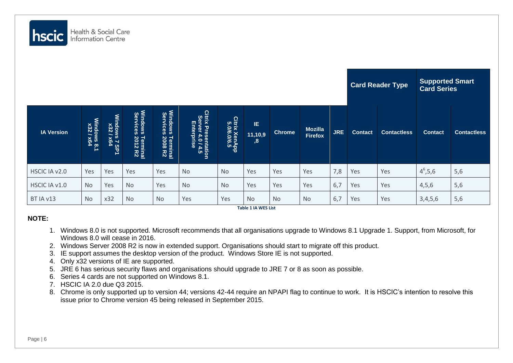

|                   |                          |                                   |                                                   |                                                |                                                                                               |                              |                                         | <b>Card Reader Type</b> | <b>Supported Smart</b><br><b>Card Series</b> |            |                |                    |                |                    |
|-------------------|--------------------------|-----------------------------------|---------------------------------------------------|------------------------------------------------|-----------------------------------------------------------------------------------------------|------------------------------|-----------------------------------------|-------------------------|----------------------------------------------|------------|----------------|--------------------|----------------|--------------------|
| <b>IA Version</b> | Windows 8.1<br>x32 / x64 | <b>Windows 7 SP1</b><br>x32 / x64 | Windows<br>Services<br><b>Terminal</b><br>2012 R2 | Windows<br>Services<br>: Terminal<br>: 2008 R2 | Citrix Pres <sub>tric</sub><br>Server 4.0/4<br>Enterprise<br>c Presentation<br>rver 4.0 / 4.5 | Citrix XenApp<br>5.0/6.0/6.5 | IE.<br>11,10,9<br>,8                    | <b>Chrome</b>           | <b>Mozilla</b><br><b>Firefox</b>             | <b>JRE</b> | <b>Contact</b> | <b>Contactless</b> | <b>Contact</b> | <b>Contactless</b> |
| HSCIC IA v2.0     | Yes                      | Yes                               | Yes                                               | Yes                                            | <b>No</b>                                                                                     | <b>No</b>                    | Yes                                     | Yes                     | Yes                                          | 7,8        | Yes            | Yes                | $4^6, 5, 6$    | 5,6                |
| HSCIC IA v1.0     | <b>No</b>                | Yes                               | <b>No</b>                                         | Yes                                            | <b>No</b>                                                                                     | <b>No</b>                    | Yes                                     | Yes                     | Yes                                          | 6,7        | Yes            | Yes                | 4,5,6          | 5,6                |
| BT IA v13         | <b>No</b>                | x32                               | <b>No</b>                                         | <b>No</b>                                      | Yes                                                                                           | Yes                          | <b>No</b><br><b>Table 1 IA WES List</b> | <b>No</b>               | <b>No</b>                                    | 6,7        | Yes            | Yes                | 3,4,5,6        | 5,6                |

## **NOTE:**

- 1. Windows 8.0 is not supported. Microsoft recommends that all organisations upgrade to Windows 8.1 Upgrade 1. Support, from Microsoft, for Windows 8.0 will cease in 2016.
- 2. Windows Server 2008 R2 is now in extended support. Organisations should start to migrate off this product.
- 3. IE support assumes the desktop version of the product. Windows Store IE is not supported.
- 4. Only x32 versions of IE are supported.
- 5. JRE 6 has serious security flaws and organisations should upgrade to JRE 7 or 8 as soon as possible.
- 6. Series 4 cards are not supported on Windows 8.1.
- 7. HSCIC IA 2.0 due Q3 2015.
- 8. Chrome is only supported up to version 44; versions 42-44 require an NPAPI flag to continue to work. It is HSCIC's intention to resolve this issue prior to Chrome version 45 being released in September 2015.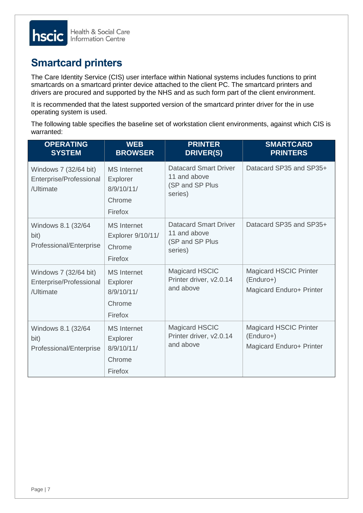

## <span id="page-6-0"></span>**Smartcard printers**

The Care Identity Service (CIS) user interface within National systems includes functions to print smartcards on a smartcard printer device attached to the client PC. The smartcard printers and drivers are procured and supported by the NHS and as such form part of the client environment.

It is recommended that the latest supported version of the smartcard printer driver for the in use operating system is used.

The following table specifies the baseline set of workstation client environments, against which CIS is warranted:

| <b>OPERATING</b><br><b>SYSTEM</b>                             | <b>WEB</b><br><b>BROWSER</b>                                      | <b>PRINTER</b><br><b>DRIVER(S)</b>                                         | <b>SMARTCARD</b><br><b>PRINTERS</b>                                      |
|---------------------------------------------------------------|-------------------------------------------------------------------|----------------------------------------------------------------------------|--------------------------------------------------------------------------|
| Windows 7 (32/64 bit)<br>Enterprise/Professional<br>/Ultimate | <b>MS</b> Internet<br>Explorer<br>8/9/10/11/<br>Chrome<br>Firefox | <b>Datacard Smart Driver</b><br>11 and above<br>(SP and SP Plus<br>series) | Datacard SP35 and SP35+                                                  |
| Windows 8.1 (32/64)<br>bit)<br>Professional/Enterprise        | <b>MS</b> Internet<br>Explorer 9/10/11/<br>Chrome<br>Firefox      | <b>Datacard Smart Driver</b><br>11 and above<br>(SP and SP Plus<br>series) | Datacard SP35 and SP35+                                                  |
| Windows 7 (32/64 bit)<br>Enterprise/Professional<br>/Ultimate | <b>MS</b> Internet<br>Explorer<br>8/9/10/11/<br>Chrome<br>Firefox | <b>Magicard HSCIC</b><br>Printer driver, v2.0.14<br>and above              | <b>Magicard HSCIC Printer</b><br>$(Enduro+)$<br>Magicard Enduro+ Printer |
| Windows 8.1 (32/64)<br>bit)<br>Professional/Enterprise        | <b>MS</b> Internet<br>Explorer<br>8/9/10/11/<br>Chrome<br>Firefox | <b>Magicard HSCIC</b><br>Printer driver, v2.0.14<br>and above              | <b>Magicard HSCIC Printer</b><br>$(Enduro+)$<br>Magicard Enduro+ Printer |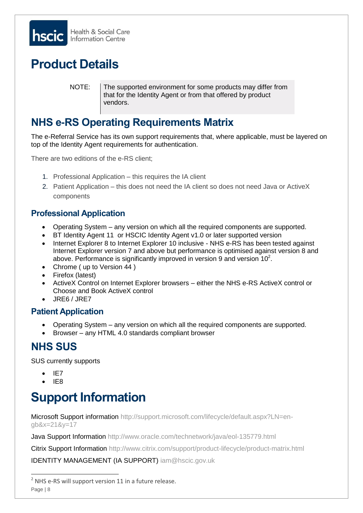

# <span id="page-7-0"></span>**Product Details**

NOTE: The supported environment for some products may differ from that for the Identity Agent or from that offered by product vendors.

## <span id="page-7-1"></span>**NHS e-RS Operating Requirements Matrix**

The e-Referral Service has its own support requirements that, where applicable, must be layered on top of the Identity Agent requirements for authentication.

There are two editions of the e-RS client;

- 1. Professional Application this requires the IA client
- 2. Patient Application this does not need the IA client so does not need Java or ActiveX components

## **Professional Application**

- Operating System any version on which all the required components are supported.
- BT Identity Agent 11 or HSCIC Identity Agent v1.0 or later supported version
- Internet Explorer 8 to Internet Explorer 10 inclusive NHS e-RS has been tested against Internet Explorer version 7 and above but performance is optimised against version 8 and above. Performance is significantly improved in version 9 and version  $10^2$ .
- Chrome ( up to Version 44 )
- Firefox (latest)
- ActiveX Control on Internet Explorer browsers either the NHS e-RS ActiveX control or Choose and Book ActiveX control
- JRE6 / JRE7

## **Patient Application**

- Operating System any version on which all the required components are supported.
- Browser any HTML 4.0 standards compliant browser

## <span id="page-7-2"></span>**NHS SUS**

SUS currently supports

- $I = IET$
- IE8

# <span id="page-7-3"></span>**Support Information**

Microsoft Support information [http://support.microsoft.com/lifecycle/default.aspx?LN=en](http://support.microsoft.com/lifecycle/default.aspx?LN=en-gb&x=21&y=17)[gb&x=21&y=17](http://support.microsoft.com/lifecycle/default.aspx?LN=en-gb&x=21&y=17)

Java Support Information <http://www.oracle.com/technetwork/java/eol-135779.html>

Citrix Support Information <http://www.citrix.com/support/product-lifecycle/product-matrix.html>

IDENTITY MANAGEMENT (IA SUPPORT) iam@hscic.gov.uk

Page | 8 - $2$  NHS e-RS will support version 11 in a future release.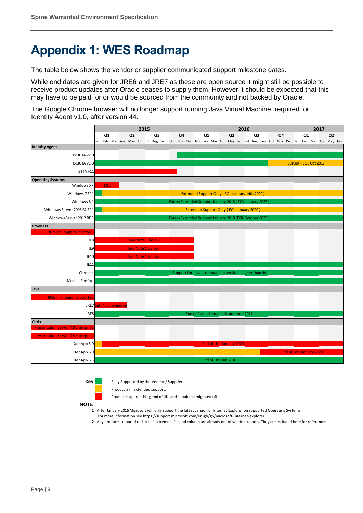# <span id="page-8-0"></span>**Appendix 1: WES Roadmap**

The table below shows the vendor or supplier communicated support milestone dates.

While end dates are given for JRE6 and JRE7 as these are open source it might still be possible to receive product updates after Oracle ceases to supply them. However it should be expected that this may have to be paid for or would be sourced from the community and not backed by Oracle.

The Google Chrome browser will no longer support running Java Virtual Machine, required for Identity Agent v1.0, after version 44.



**Key** Fully Supported by the Vendor / Supplier

Product is in extended support.

Product is approaching end of life and should be migrated off.

**NOTE:**

**1** After January 2016 Microsoft will only support the latest version of Internet Explorer on supported Operating Systems.

- For more information see https://support.microsoft.com/en-gb/gp/microsoft-internet-explorer
- **2** Any products coloured red in the extreme left hand column are already out of vendor support. They are included here for reference.